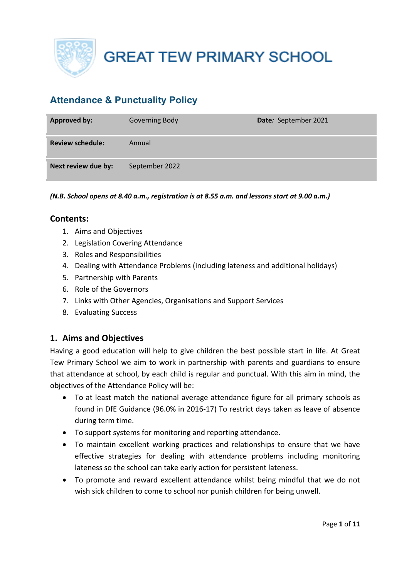

# **Attendance & Punctuality Policy**

| <b>Approved by:</b>     | Governing Body | Date: September 2021 |
|-------------------------|----------------|----------------------|
| <b>Review schedule:</b> | Annual         |                      |
| Next review due by:     | September 2022 |                      |

*(N.B. School opens at 8.40 a.m., registration is at 8.55 a.m. and lessons start at 9.00 a.m.)*

### **Contents:**

- 1. Aims and Objectives
- 2. Legislation Covering Attendance
- 3. Roles and Responsibilities
- 4. Dealing with Attendance Problems (including lateness and additional holidays)
- 5. Partnership with Parents
- 6. Role of the Governors
- 7. Links with Other Agencies, Organisations and Support Services
- 8. Evaluating Success

### **1. Aims and Objectives**

Having a good education will help to give children the best possible start in life. At Great Tew Primary School we aim to work in partnership with parents and guardians to ensure that attendance at school, by each child is regular and punctual. With this aim in mind, the objectives of the Attendance Policy will be:

- To at least match the national average attendance figure for all primary schools as found in DfE Guidance (96.0% in 2016-17) To restrict days taken as leave of absence during term time.
- To support systems for monitoring and reporting attendance.
- To maintain excellent working practices and relationships to ensure that we have effective strategies for dealing with attendance problems including monitoring lateness so the school can take early action for persistent lateness.
- To promote and reward excellent attendance whilst being mindful that we do not wish sick children to come to school nor punish children for being unwell.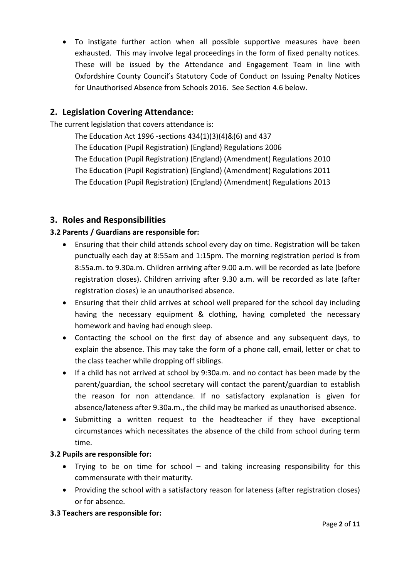• To instigate further action when all possible supportive measures have been exhausted. This may involve legal proceedings in the form of fixed penalty notices. These will be issued by the Attendance and Engagement Team in line with Oxfordshire County Council's Statutory Code of Conduct on Issuing Penalty Notices for Unauthorised Absence from Schools 2016. See Section 4.6 below.

# **2. Legislation Covering Attendance:**

The current legislation that covers attendance is:

The Education Act 1996 -sections 434(1)(3)(4)&(6) and 437 The Education (Pupil Registration) (England) Regulations 2006 The Education (Pupil Registration) (England) (Amendment) Regulations 2010 The Education (Pupil Registration) (England) (Amendment) Regulations 2011 The Education (Pupil Registration) (England) (Amendment) Regulations 2013

# **3. Roles and Responsibilities**

### **3.2 Parents / Guardians are responsible for:**

- Ensuring that their child attends school every day on time. Registration will be taken punctually each day at 8:55am and 1:15pm. The morning registration period is from 8:55a.m. to 9.30a.m. Children arriving after 9.00 a.m. will be recorded as late (before registration closes). Children arriving after 9.30 a.m. will be recorded as late (after registration closes) ie an unauthorised absence.
- Ensuring that their child arrives at school well prepared for the school day including having the necessary equipment & clothing, having completed the necessary homework and having had enough sleep.
- Contacting the school on the first day of absence and any subsequent days, to explain the absence. This may take the form of a phone call, email, letter or chat to the class teacher while dropping off siblings.
- If a child has not arrived at school by 9:30a.m. and no contact has been made by the parent/guardian, the school secretary will contact the parent/guardian to establish the reason for non attendance. If no satisfactory explanation is given for absence/lateness after 9.30a.m., the child may be marked as unauthorised absence.
- Submitting a written request to the headteacher if they have exceptional circumstances which necessitates the absence of the child from school during term time.

### **3.2 Pupils are responsible for:**

- Trying to be on time for school and taking increasing responsibility for this commensurate with their maturity.
- Providing the school with a satisfactory reason for lateness (after registration closes) or for absence.

### **3.3 Teachers are responsible for:**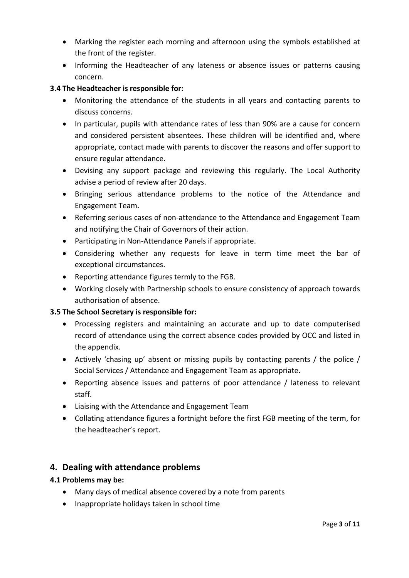- Marking the register each morning and afternoon using the symbols established at the front of the register.
- Informing the Headteacher of any lateness or absence issues or patterns causing concern.

### **3.4 The Headteacher is responsible for:**

- Monitoring the attendance of the students in all years and contacting parents to discuss concerns.
- In particular, pupils with attendance rates of less than 90% are a cause for concern and considered persistent absentees. These children will be identified and, where appropriate, contact made with parents to discover the reasons and offer support to ensure regular attendance.
- Devising any support package and reviewing this regularly. The Local Authority advise a period of review after 20 days.
- Bringing serious attendance problems to the notice of the Attendance and Engagement Team.
- Referring serious cases of non-attendance to the Attendance and Engagement Team and notifying the Chair of Governors of their action.
- Participating in Non-Attendance Panels if appropriate.
- Considering whether any requests for leave in term time meet the bar of exceptional circumstances.
- Reporting attendance figures termly to the FGB.
- Working closely with Partnership schools to ensure consistency of approach towards authorisation of absence.

### **3.5 The School Secretary is responsible for:**

- Processing registers and maintaining an accurate and up to date computerised record of attendance using the correct absence codes provided by OCC and listed in the appendix.
- Actively 'chasing up' absent or missing pupils by contacting parents / the police / Social Services / Attendance and Engagement Team as appropriate.
- Reporting absence issues and patterns of poor attendance / lateness to relevant staff.
- Liaising with the Attendance and Engagement Team
- Collating attendance figures a fortnight before the first FGB meeting of the term, for the headteacher's report.

# **4. Dealing with attendance problems**

### **4.1 Problems may be:**

- Many days of medical absence covered by a note from parents
- Inappropriate holidays taken in school time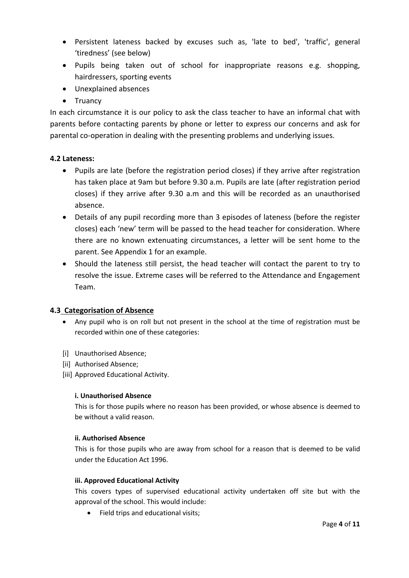- Persistent lateness backed by excuses such as, 'late to bed', 'traffic', general 'tiredness' (see below)
- Pupils being taken out of school for inappropriate reasons e.g. shopping, hairdressers, sporting events
- Unexplained absences
- Truancy

In each circumstance it is our policy to ask the class teacher to have an informal chat with parents before contacting parents by phone or letter to express our concerns and ask for parental co-operation in dealing with the presenting problems and underlying issues.

#### **4.2 Lateness:**

- Pupils are late (before the registration period closes) if they arrive after registration has taken place at 9am but before 9.30 a.m. Pupils are late (after registration period closes) if they arrive after 9.30 a.m and this will be recorded as an unauthorised absence.
- Details of any pupil recording more than 3 episodes of lateness (before the register closes) each 'new' term will be passed to the head teacher for consideration. Where there are no known extenuating circumstances, a letter will be sent home to the parent. See Appendix 1 for an example.
- Should the lateness still persist, the head teacher will contact the parent to try to resolve the issue. Extreme cases will be referred to the Attendance and Engagement Team.

#### **4.3 Categorisation of Absence**

- Any pupil who is on roll but not present in the school at the time of registration must be recorded within one of these categories:
- [i] Unauthorised Absence;
- [ii] Authorised Absence;
- [iii] Approved Educational Activity.

#### **i. Unauthorised Absence**

This is for those pupils where no reason has been provided, or whose absence is deemed to be without a valid reason.

#### **ii. Authorised Absence**

This is for those pupils who are away from school for a reason that is deemed to be valid under the Education Act 1996.

#### **iii. Approved Educational Activity**

This covers types of supervised educational activity undertaken off site but with the approval of the school. This would include:

• Field trips and educational visits;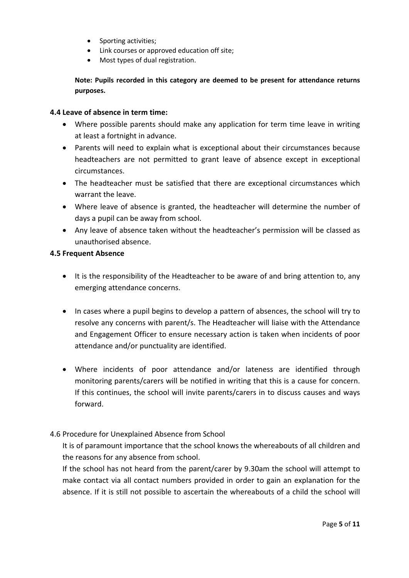- Sporting activities;
- Link courses or approved education off site;
- Most types of dual registration.

**Note: Pupils recorded in this category are deemed to be present for attendance returns purposes.**

#### **4.4 Leave of absence in term time:**

- Where possible parents should make any application for term time leave in writing at least a fortnight in advance.
- Parents will need to explain what is exceptional about their circumstances because headteachers are not permitted to grant leave of absence except in exceptional circumstances.
- The headteacher must be satisfied that there are exceptional circumstances which warrant the leave.
- Where leave of absence is granted, the headteacher will determine the number of days a pupil can be away from school.
- Any leave of absence taken without the headteacher's permission will be classed as unauthorised absence.

#### **4.5 Frequent Absence**

- It is the responsibility of the Headteacher to be aware of and bring attention to, any emerging attendance concerns.
- In cases where a pupil begins to develop a pattern of absences, the school will try to resolve any concerns with parent/s. The Headteacher will liaise with the Attendance and Engagement Officer to ensure necessary action is taken when incidents of poor attendance and/or punctuality are identified.
- Where incidents of poor attendance and/or lateness are identified through monitoring parents/carers will be notified in writing that this is a cause for concern. If this continues, the school will invite parents/carers in to discuss causes and ways forward.

#### 4.6 Procedure for Unexplained Absence from School

It is of paramount importance that the school knows the whereabouts of all children and the reasons for any absence from school.

If the school has not heard from the parent/carer by 9.30am the school will attempt to make contact via all contact numbers provided in order to gain an explanation for the absence. If it is still not possible to ascertain the whereabouts of a child the school will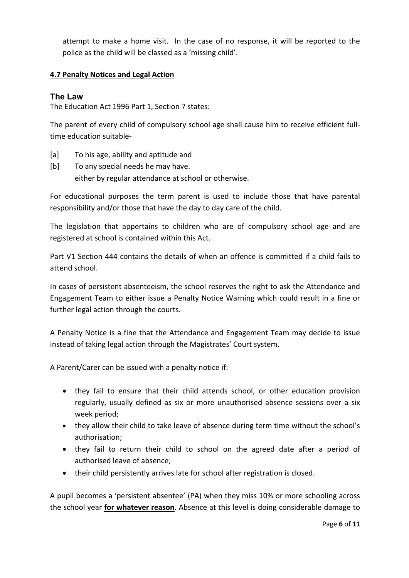attempt to make a home visit. In the case of no response, it will be reported to the police as the child will be classed as a 'missing child'.

### **4.7 Penalty Notices and Legal Action**

#### **The Law**

The Education Act 1996 Part 1, Section 7 states:

The parent of every child of compulsory school age shall cause him to receive efficient fulltime education suitable-

- [a] To his age, ability and aptitude and
- [b] To any special needs he may have. either by regular attendance at school or otherwise.

For educational purposes the term parent is used to include those that have parental responsibility and/or those that have the day to day care of the child.

The legislation that appertains to children who are of compulsory school age and are registered at school is contained within this Act.

Part V1 Section 444 contains the details of when an offence is committed if a child fails to attend school.

In cases of persistent absenteeism, the school reserves the right to ask the Attendance and Engagement Team to either issue a Penalty Notice Warning which could result in a fine or further legal action through the courts.

A Penalty Notice is a fine that the Attendance and Engagement Team may decide to issue instead of taking legal action through the Magistrates' Court system.

A Parent/Carer can be issued with a penalty notice if:

- they fail to ensure that their child attends school, or other education provision regularly, usually defined as six or more unauthorised absence sessions over a six week period;
- they allow their child to take leave of absence during term time without the school's authorisation;
- they fail to return their child to school on the agreed date after a period of authorised leave of absence;
- their child persistently arrives late for school after registration is closed.

A pupil becomes a 'persistent absentee' (PA) when they miss 10% or more schooling across the school year **for whatever reason**. Absence at this level is doing considerable damage to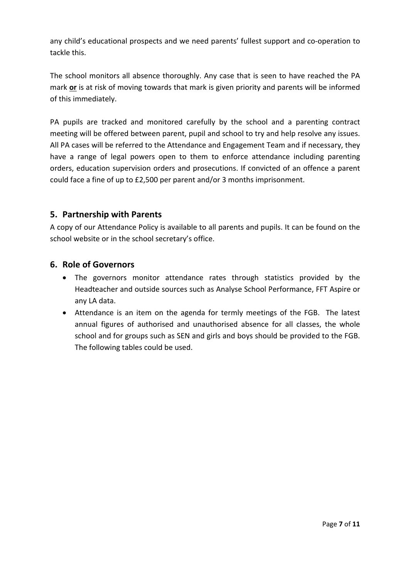any child's educational prospects and we need parents' fullest support and co-operation to tackle this.

The school monitors all absence thoroughly. Any case that is seen to have reached the PA mark **or** is at risk of moving towards that mark is given priority and parents will be informed of this immediately.

PA pupils are tracked and monitored carefully by the school and a parenting contract meeting will be offered between parent, pupil and school to try and help resolve any issues. All PA cases will be referred to the Attendance and Engagement Team and if necessary, they have a range of legal powers open to them to enforce attendance including parenting orders, education supervision orders and prosecutions. If convicted of an offence a parent could face a fine of up to £2,500 per parent and/or 3 months imprisonment.

### **5. Partnership with Parents**

A copy of our Attendance Policy is available to all parents and pupils. It can be found on the school website or in the school secretary's office.

### **6. Role of Governors**

- The governors monitor attendance rates through statistics provided by the Headteacher and outside sources such as Analyse School Performance, FFT Aspire or any LA data.
- Attendance is an item on the agenda for termly meetings of the FGB. The latest annual figures of authorised and unauthorised absence for all classes, the whole school and for groups such as SEN and girls and boys should be provided to the FGB. The following tables could be used.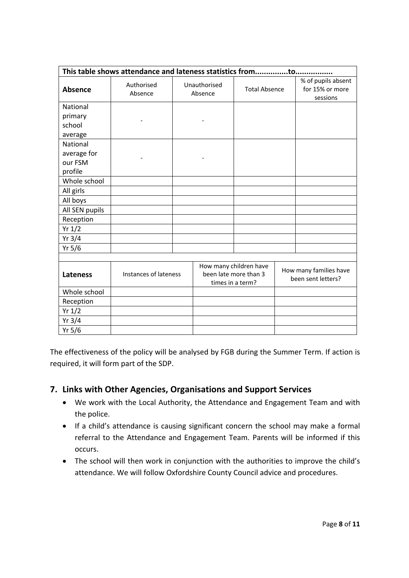| This table shows attendance and lateness statistics fromto |                       |  |                                                                     |                      |                                              |                                                   |
|------------------------------------------------------------|-----------------------|--|---------------------------------------------------------------------|----------------------|----------------------------------------------|---------------------------------------------------|
| <b>Absence</b>                                             | Authorised<br>Absence |  | Unauthorised<br>Absence                                             | <b>Total Absence</b> |                                              | % of pupils absent<br>for 15% or more<br>sessions |
| National                                                   |                       |  |                                                                     |                      |                                              |                                                   |
| primary                                                    |                       |  |                                                                     |                      |                                              |                                                   |
| school                                                     |                       |  |                                                                     |                      |                                              |                                                   |
| average                                                    |                       |  |                                                                     |                      |                                              |                                                   |
| National                                                   |                       |  |                                                                     |                      |                                              |                                                   |
| average for                                                |                       |  |                                                                     |                      |                                              |                                                   |
| our FSM                                                    |                       |  |                                                                     |                      |                                              |                                                   |
| profile                                                    |                       |  |                                                                     |                      |                                              |                                                   |
| Whole school                                               |                       |  |                                                                     |                      |                                              |                                                   |
| All girls                                                  |                       |  |                                                                     |                      |                                              |                                                   |
| All boys                                                   |                       |  |                                                                     |                      |                                              |                                                   |
| All SEN pupils                                             |                       |  |                                                                     |                      |                                              |                                                   |
| Reception                                                  |                       |  |                                                                     |                      |                                              |                                                   |
| Yr 1/2                                                     |                       |  |                                                                     |                      |                                              |                                                   |
| $Yr$ 3/4                                                   |                       |  |                                                                     |                      |                                              |                                                   |
| Yr 5/6                                                     |                       |  |                                                                     |                      |                                              |                                                   |
|                                                            |                       |  |                                                                     |                      |                                              |                                                   |
| <b>Lateness</b>                                            | Instances of lateness |  | How many children have<br>been late more than 3<br>times in a term? |                      | How many families have<br>been sent letters? |                                                   |
|                                                            |                       |  |                                                                     |                      |                                              |                                                   |
| Reception                                                  |                       |  |                                                                     |                      |                                              |                                                   |
| Yr 1/2                                                     |                       |  |                                                                     |                      |                                              |                                                   |
| Yr $3/4$                                                   |                       |  |                                                                     |                      |                                              |                                                   |
| Yr $5/6$                                                   |                       |  |                                                                     |                      |                                              |                                                   |

The effectiveness of the policy will be analysed by FGB during the Summer Term. If action is required, it will form part of the SDP.

# **7. Links with Other Agencies, Organisations and Support Services**

- We work with the Local Authority, the Attendance and Engagement Team and with the police.
- If a child's attendance is causing significant concern the school may make a formal referral to the Attendance and Engagement Team. Parents will be informed if this occurs.
- The school will then work in conjunction with the authorities to improve the child's attendance. We will follow Oxfordshire County Council advice and procedures.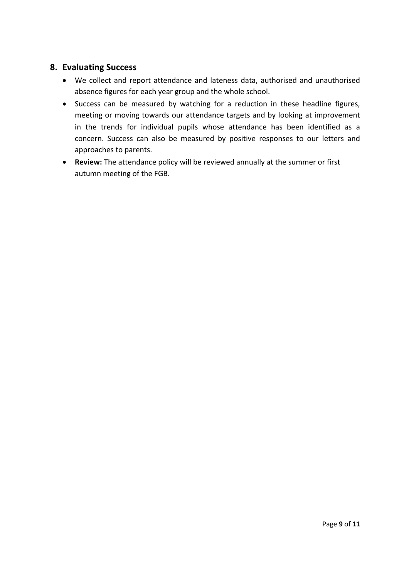### **8. Evaluating Success**

- We collect and report attendance and lateness data, authorised and unauthorised absence figures for each year group and the whole school.
- Success can be measured by watching for a reduction in these headline figures, meeting or moving towards our attendance targets and by looking at improvement in the trends for individual pupils whose attendance has been identified as a concern. Success can also be measured by positive responses to our letters and approaches to parents.
- **Review:** The attendance policy will be reviewed annually at the summer or first autumn meeting of the FGB.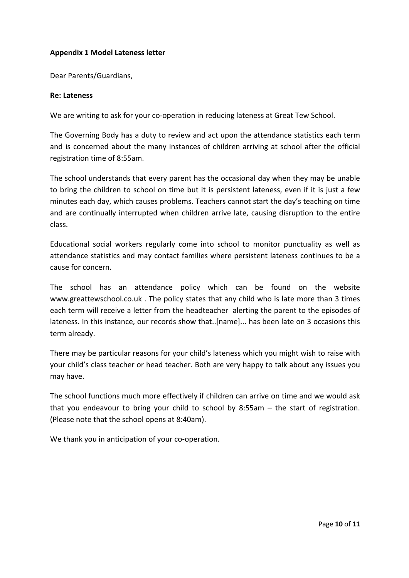#### **Appendix 1 Model Lateness letter**

Dear Parents/Guardians,

#### **Re: Lateness**

We are writing to ask for your co-operation in reducing lateness at Great Tew School.

The Governing Body has a duty to review and act upon the attendance statistics each term and is concerned about the many instances of children arriving at school after the official registration time of 8:55am.

The school understands that every parent has the occasional day when they may be unable to bring the children to school on time but it is persistent lateness, even if it is just a few minutes each day, which causes problems. Teachers cannot start the day's teaching on time and are continually interrupted when children arrive late, causing disruption to the entire class.

Educational social workers regularly come into school to monitor punctuality as well as attendance statistics and may contact families where persistent lateness continues to be a cause for concern.

The school has an attendance policy which can be found on the website www.greattewschool.co.uk . The policy states that any child who is late more than 3 times each term will receive a letter from the headteacher alerting the parent to the episodes of lateness. In this instance, our records show that..[name]... has been late on 3 occasions this term already.

There may be particular reasons for your child's lateness which you might wish to raise with your child's class teacher or head teacher. Both are very happy to talk about any issues you may have.

The school functions much more effectively if children can arrive on time and we would ask that you endeavour to bring your child to school by 8:55am – the start of registration. (Please note that the school opens at 8:40am).

We thank you in anticipation of your co-operation.